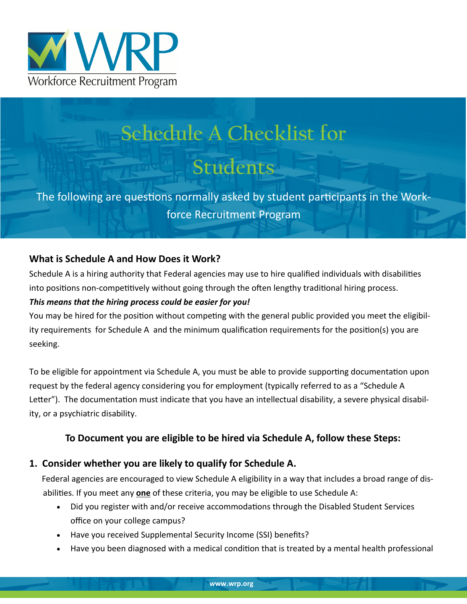

# **Schedule A Checklist for**

# **Students**

The following are questions normally asked by student participants in the Workforce Recruitment Program

### **What is Schedule A and How Does it Work?**

Schedule A is a hiring authority that Federal agencies may use to hire qualified individuals with disabilities into positions non-competitively without going through the often lengthy traditional hiring process. *This means that the hiring process could be easier for you!* 

You may be hired for the position without competing with the general public provided you meet the eligibility requirements for Schedule A and the minimum qualification requirements for the position(s) you are seeking.

To be eligible for appointment via Schedule A, you must be able to provide supporting documentation upon request by the federal agency considering you for employment (typically referred to as a "Schedule A Letter"). The documentation must indicate that you have an intellectual disability, a severe physical disability, or a psychiatric disability.

## **To Document you are eligible to be hired via Schedule A, follow these Steps:**

### **1. Consider whether you are likely to qualify for Schedule A.**

 Federal agencies are encouraged to view Schedule A eligibility in a way that includes a broad range of disabilities. If you meet any **one** of these criteria, you may be eligible to use Schedule A:

- Did you register with and/or receive accommodations through the Disabled Student Services office on your college campus?
- Have you received Supplemental Security Income (SSI) benefits?
- Have you been diagnosed with a medical condition that is treated by a mental health professional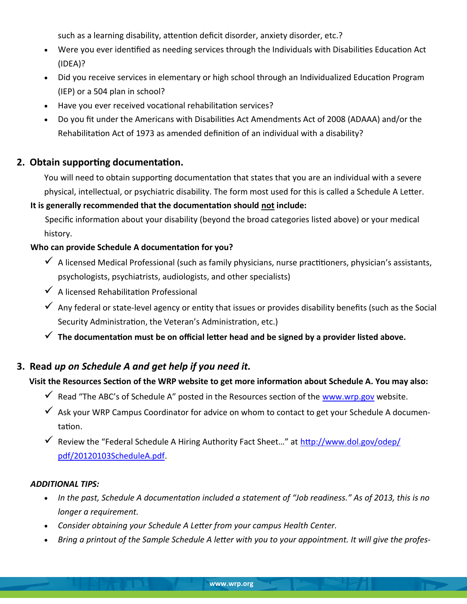such as a learning disability, attention deficit disorder, anxiety disorder, etc.?

- Were you ever identified as needing services through the Individuals with Disabilities Education Act (IDEA)?
- Did you receive services in elementary or high school through an Individualized Education Program (IEP) or a 504 plan in school?
- Have you ever received vocational rehabilitation services?
- Do you fit under the Americans with Disabilities Act Amendments Act of 2008 (ADAAA) and/or the Rehabilitation Act of 1973 as amended definition of an individual with a disability?

#### **2. Obtain supporting documentation.**

You will need to obtain supporting documentation that states that you are an individual with a severe physical, intellectual, or psychiatric disability. The form most used for this is called a Schedule A Letter.

#### **It is generally recommended that the documentation should not include:**

Specific information about your disability (beyond the broad categories listed above) or your medical history.

#### **Who can provide Schedule A documentation for you?**

- $\checkmark$  A licensed Medical Professional (such as family physicians, nurse practitioners, physician's assistants, psychologists, psychiatrists, audiologists, and other specialists)
- $\checkmark$  A licensed Rehabilitation Professional
- $\checkmark$  Any federal or state-level agency or entity that issues or provides disability benefits (such as the Social Security Administration, the Veteran's Administration, etc.)
- **The documentation must be on official letter head and be signed by a provider listed above.**

### **3. Read** *up on Schedule A and get help if you need it.*

#### **Visit the Resources Section of the WRP website to get more information about Schedule A. You may also:**

- $\checkmark$  Read "The ABC's of Schedule A" posted in the Resources section of the [www.wrp.gov](http://www.wrp.gov) website.
- $\checkmark$  Ask your WRP Campus Coordinator for advice on whom to contact to get your Schedule A documentation.
- $\checkmark$  Review the "Federal Schedule A Hiring Authority Fact Sheet..." at [http://www.dol.gov/odep/](http://www.dol.gov/odep/pdf/20120103ScheduleA.pdf) [pdf/20120103ScheduleA.pdf.](http://www.dol.gov/odep/pdf/20120103ScheduleA.pdf)

#### *ADDITIONAL TIPS:*

- *In the past, Schedule A documentation included a statement of "Job readiness." As of 2013, this is no longer a requirement.*
- *Consider obtaining your Schedule A Letter from your campus Health Center.*
- *Bring a printout of the Sample Schedule A letter with you to your appointment. It will give the profes-*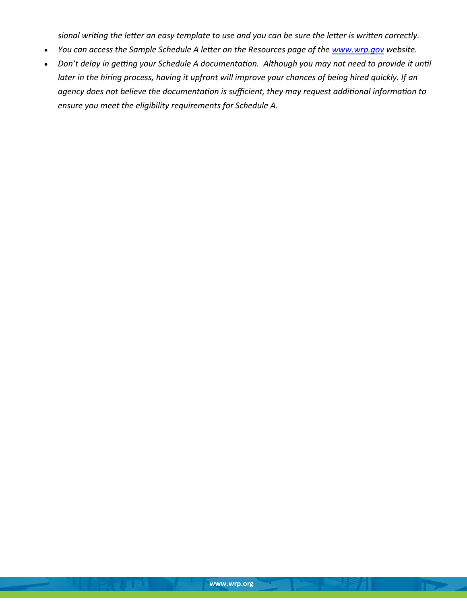*sional writing the letter an easy template to use and you can be sure the letter is written correctly.* 

- You can access the Sample Schedule A letter on the Resources page of the **www.wrp.gov** website.
- *Don't delay in getting your Schedule A documentation. Although you may not need to provide it until later in the hiring process, having it upfront will improve your chances of being hired quickly. If an agency does not believe the documentation is sufficient, they may request additional information to ensure you meet the eligibility requirements for Schedule A.*